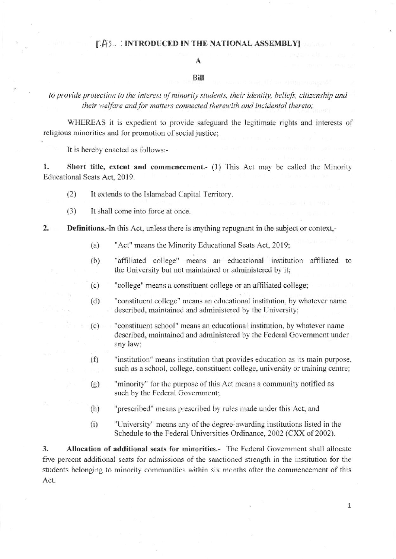## **LAS. INTRODUCED IN THE NATIONAL ASSEMBLY**

# A

### Bill

to provide protection to the interest of minority students, their identity, beliefs, citizenship and their welfare and for matters connected therewith and incidental thereto;

WHEREAS it is expedient to provide safeguard the legitimate rights and interests of religious minorities and for promotion of social justice:

It is hereby enacted as follows:-

1. Short title, extent and commencement.- (1) This Act may be called the Minority Educational Seats Act, 2019.

- $(2)$ It extends to the Islamabad Capital Territory.
- $(3)$ It shall come into force at once.

#### $2.$ **Definitions.-In this Act, unless there is anything repugnant in the subject or context,-**

- "Act" means the Minority Educational Seats Act, 2019;  $(a)$
- "affiliated college" means an educational institution affiliated to  $(b)$ the University but not maintained or administered by it;
- "college" means a constituent college or an affiliated college;  $(c)$
- "constituent college" means an educational institution, by whatever name  $(d)$ described, maintained and administered by the University;
- "constituent school" means an educational institution, by whatever name  $(e)$ described, maintained and administered by the Federal Government under any law:
- "institution" means institution that provides education as its main purpose,  $(f)$ such as a school, college, constituent college, university or training centre;
- "minority" for the purpose of this Act means a community notified as  $(g)$ such by the Federal Government;
- "prescribed" means prescribed by rules made under this Act; and  $(h)$
- $(i)$ "University" means any of the degree-awarding institutions listed in the Schedule to the Federal Universities Ordinance, 2002 (CXX of 2002).

 $\overline{3}$ . Allocation of additional seats for minorities.- The Federal Government shall allocate five percent additional seats for admissions of the sanctioned strength in the institution for the students belonging to minority communities within six months after the commencement of this Act.

 $\mathbf{1}$